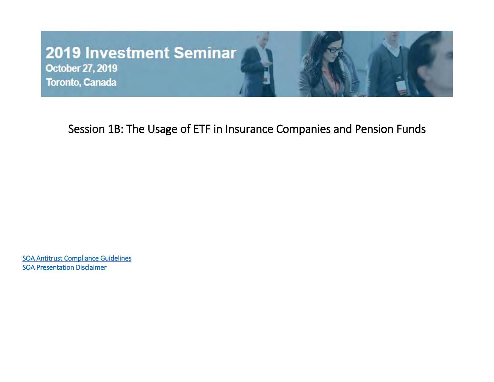#### **2019 Investment Seminar**

October 27, 2019 Toronto, Canada



#### Session 1B: The Usage of ETF in Insurance Companies and Pension Funds

[SOA Antitrust Compliance Guidelines](http://www.soa.org/legal/antitrust-disclaimer/)  [SOA Presentation Disclaimer](https://www.soa.org/legal/presentation-disclaimer/)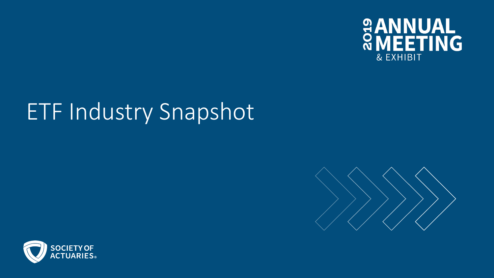

# ETF Industry Snapshot



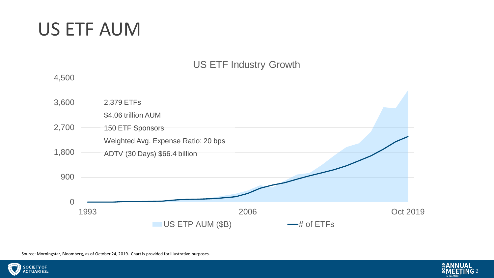#### US ETF AUM

#### US ETF Industry Growth



Source: Morningstar, Bloomberg, as of October 24, 2019. Chart is provided for illustrative purposes.



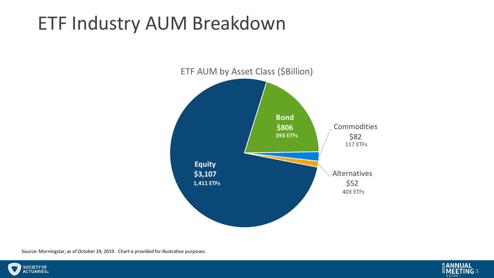## ETF Industry AUM Breakdown



Source: Morningstar, as of October 24, 2019. Chart is provided for illustrative purposes.



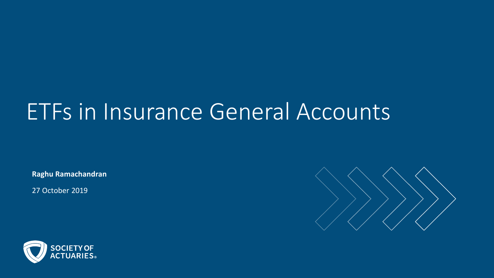## ETFs in Insurance General Accounts

**Raghu Ramachandran**

27 October 2019



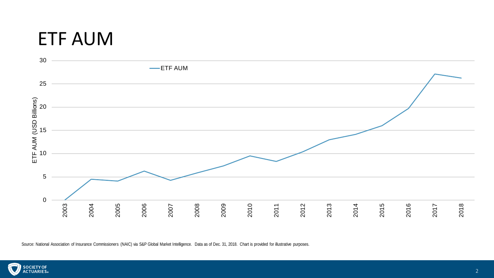#### ETF AUM



Source: National Association of Insurance Commissioners (NAIC) via S&P Global Market Intelligence. Data as of Dec. 31, 2018. Chart is provided for illustrative purposes.

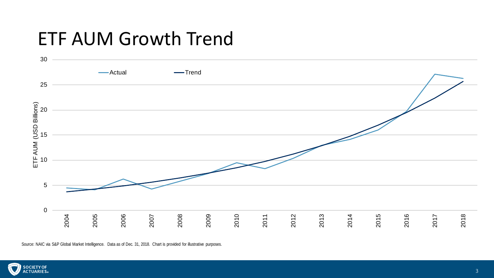#### ETF AUM Growth Trend



Source: NAIC via S&P Global Market Intelligence. Data as of Dec. 31, 2018. Chart is provided for illustrative purposes.

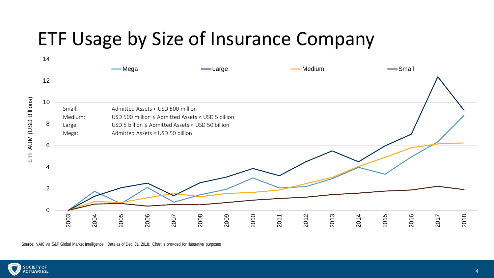### ETF Usage by Size of Insurance Company



Source: NAIC via S&P Global Market Intelligence. Data as of Dec. 31, 2018. Chart is provided for illustrative purposes

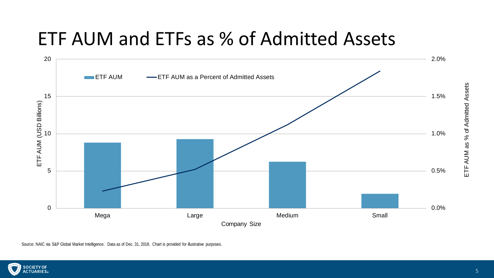## ETF AUM and ETFs as % of Admitted Assets



Source: NAIC via S&P Global Market Intelligence. Data as of Dec. 31, 2018. Chart is provided for illustrative purposes.

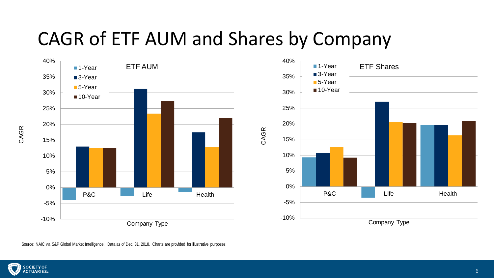#### CAGR of ETF AUM and Shares by Company



Source: NAIC via S&P Global Market Intelligence. Data as of Dec. 31, 2018. Charts are provided for illustrative purposes

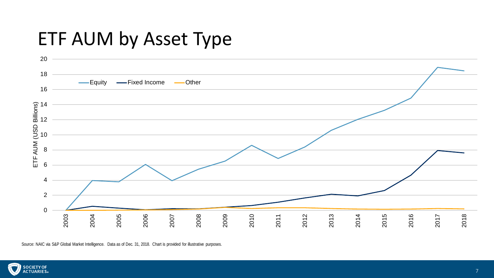#### ETF AUM by Asset Type



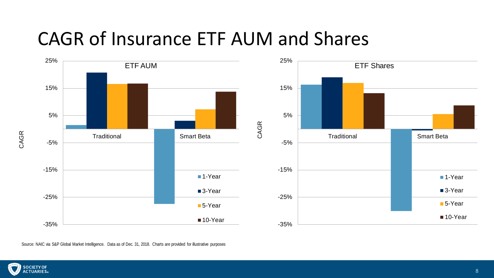#### CAGR of Insurance ETF AUM and Shares

CAGR





Source: NAIC via S&P Global Market Intelligence. Data as of Dec. 31, 2018. Charts are provided for illustrative purposes